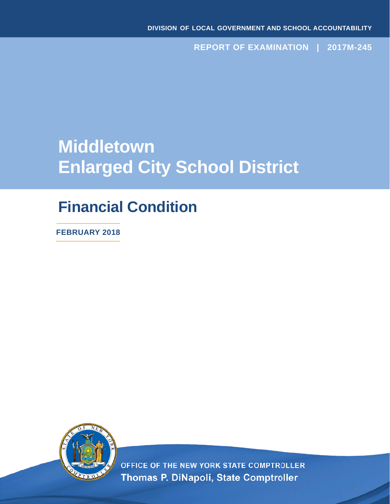**REPORT OF EXAMINATION | 2017M-245**

# **Middletown Enlarged City School District**

## **Financial Condition**

**FEBRUARY 2018**



OFFICE OF THE NEW YORK STATE COMPTROLLER Thomas P. DiNapoli, State Comptroller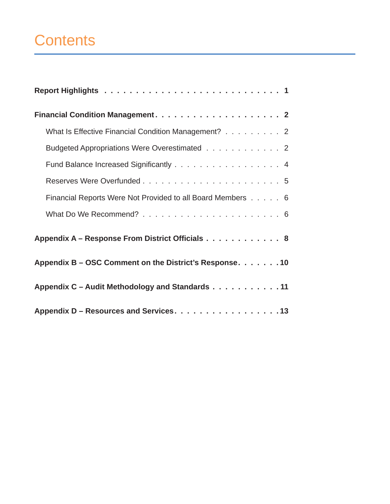## **Contents**

| What Is Effective Financial Condition Management? 2        |
|------------------------------------------------------------|
| Budgeted Appropriations Were Overestimated 2               |
| Fund Balance Increased Significantly 4                     |
|                                                            |
| Financial Reports Were Not Provided to all Board Members 6 |
|                                                            |
| Appendix A - Response From District Officials 8            |
| Appendix B – OSC Comment on the District's Response. 10    |
| Appendix C - Audit Methodology and Standards 11            |
| Appendix D – Resources and Services. 13                    |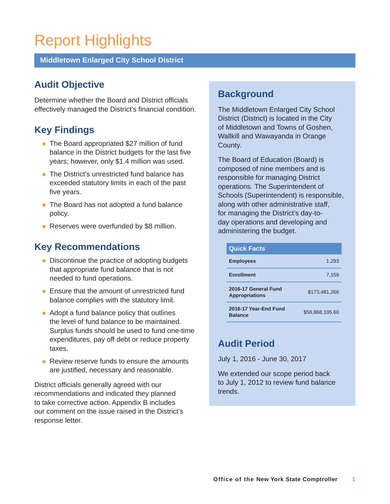## <span id="page-2-0"></span>Report Highlights

**Middletown Enlarged City School District** 

### **Audit Objective**

Determine whether the Board and District officials effectively managed the District's financial condition.

### **Key Findings**

- The Board appropriated \$27 million of fund balance in the District budgets for the last five years; however, only \$1.4 million was used.
- The District's unrestricted fund balance has exceeded statutory limits in each of the past five years.
- The Board has not adopted a fund balance policy.
- Reserves were overfunded by \$8 million.

### **Key Recommendations**

- Discontinue the practice of adopting budgets that appropriate fund balance that is not needed to fund operations.
- **Ensure that the amount of unrestricted fund** balance complies with the statutory limit.
- Adopt a fund balance policy that outlines the level of fund balance to be maintained. Surplus funds should be used to fund one-time expenditures, pay off debt or reduce property taxes.
- Review reserve funds to ensure the amounts are justified, necessary and reasonable.

District officials generally agreed with our recommendations and indicated they planned to take corrective action. Appendix B includes our comment on the issue raised in the District's response letter.

### **Background**

The Middletown Enlarged City School District (District) is located in the City of Middletown and Towns of Goshen, Wallkill and Wawayanda in Orange County.

The Board of Education (Board) is composed of nine members and is responsible for managing District operations. The Superintendent of Schools (Superintendent) is responsible, along with other administrative staff, for managing the District's day-today operations and developing and administering the budget.

| <b>Quick Facts</b>                            |                 |
|-----------------------------------------------|-----------------|
| <b>Employees</b>                              | 1,293           |
| <b>Enrollment</b>                             | 7,159           |
| 2016-17 General Fund<br><b>Appropriations</b> | \$173,481,266   |
| 2016-17 Year-End Fund<br><b>Balance</b>       | \$58.868.105.60 |

### **Audit Period**

July 1, 2016 - June 30, 2017

We extended our scope period back to July 1, 2012 to review fund balance trends.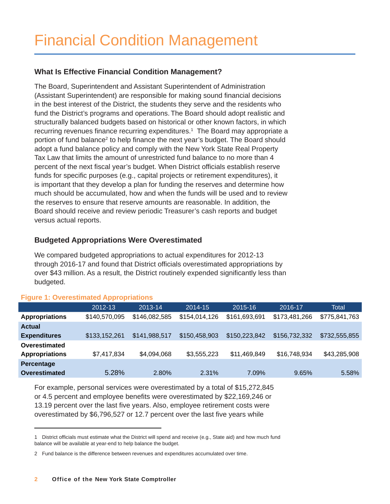#### <span id="page-3-0"></span>**What Is Effective Financial Condition Management?**

The Board, Superintendent and Assistant Superintendent of Administration (Assistant Superintendent) are responsible for making sound financial decisions in the best interest of the District, the students they serve and the residents who fund the District's programs and operations. The Board should adopt realistic and structurally balanced budgets based on historical or other known factors, in which recurring revenues finance recurring expenditures.<sup>1</sup> The Board may appropriate a portion of fund balance<sup>2</sup> to help finance the next year's budget. The Board should adopt a fund balance policy and comply with the New York State Real Property Tax Law that limits the amount of unrestricted fund balance to no more than 4 percent of the next fiscal year's budget. When District officials establish reserve funds for specific purposes (e.g., capital projects or retirement expenditures), it is important that they develop a plan for funding the reserves and determine how much should be accumulated, how and when the funds will be used and to review the reserves to ensure that reserve amounts are reasonable. In addition, the Board should receive and review periodic Treasurer's cash reports and budget versus actual reports.

#### **Budgeted Appropriations Were Overestimated**

We compared budgeted appropriations to actual expenditures for 2012-13 through 2016-17 and found that District officials overestimated appropriations by over \$43 million. As a result, the District routinely expended significantly less than budgeted.

|                       | 2012-13       | 2013-14       | 2014-15       | 2015-16       | 2016-17       | Total         |
|-----------------------|---------------|---------------|---------------|---------------|---------------|---------------|
| <b>Appropriations</b> | \$140,570,095 | \$146,082,585 | \$154,014,126 | \$161,693,691 | \$173,481,266 | \$775,841,763 |
| <b>Actual</b>         |               |               |               |               |               |               |
| <b>Expenditures</b>   | \$133,152,261 | \$141,988,517 | \$150,458,903 | \$150,223,842 | \$156,732,332 | \$732,555,855 |
| Overestimated         |               |               |               |               |               |               |
| <b>Appropriations</b> | \$7,417,834   | \$4,094,068   | \$3,555,223   | \$11,469,849  | \$16,748,934  | \$43,285,908  |
| Percentage            |               |               |               |               |               |               |
| Overestimated         | 5.28%         | 2.80%         | 2.31%         | 7.09%         | 9.65%         | 5.58%         |
|                       |               |               |               |               |               |               |

#### **Figure 1: Overestimated Appropriations**

For example, personal services were overestimated by a total of \$15,272,845 or 4.5 percent and employee benefits were overestimated by \$22,169,246 or 13.19 percent over the last five years. Also, employee retirement costs were overestimated by \$6,796,527 or 12.7 percent over the last five years while

<sup>1</sup> District officials must estimate what the District will spend and receive (e.g., State aid) and how much fund balance will be available at year-end to help balance the budget.

<sup>2</sup> Fund balance is the difference between revenues and expenditures accumulated over time.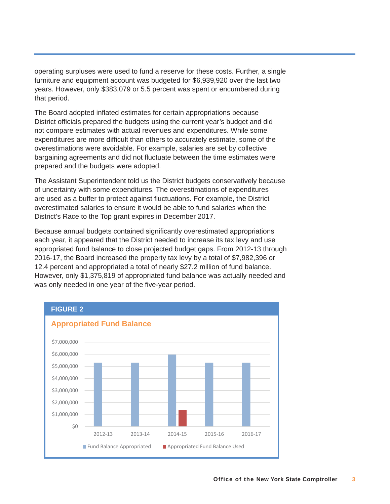operating surpluses were used to fund a reserve for these costs. Further, a single furniture and equipment account was budgeted for \$6,939,920 over the last two years. However, only \$383,079 or 5.5 percent was spent or encumbered during that period.

The Board adopted inflated estimates for certain appropriations because District officials prepared the budgets using the current year's budget and did not compare estimates with actual revenues and expenditures. While some expenditures are more difficult than others to accurately estimate, some of the overestimations were avoidable. For example, salaries are set by collective bargaining agreements and did not fluctuate between the time estimates were prepared and the budgets were adopted.

The Assistant Superintendent told us the District budgets conservatively because of uncertainty with some expenditures. The overestimations of expenditures are used as a buffer to protect against fluctuations. For example, the District overestimated salaries to ensure it would be able to fund salaries when the District's Race to the Top grant expires in December 2017.

Because annual budgets contained significantly overestimated appropriations each year, it appeared that the District needed to increase its tax levy and use appropriated fund balance to close projected budget gaps. From 2012-13 through 2016-17, the Board increased the property tax levy by a total of \$7,982,396 or 12.4 percent and appropriated a total of nearly \$27.2 million of fund balance. However, only \$1,375,819 of appropriated fund balance was actually needed and was only needed in one year of the five-year period.

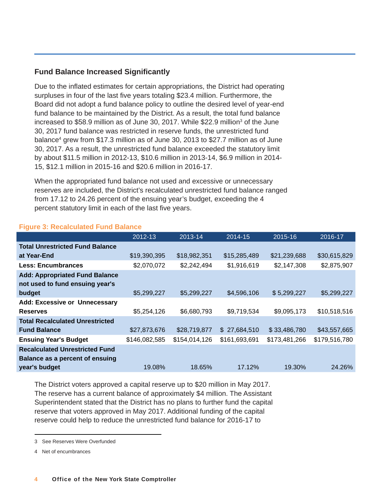#### <span id="page-5-0"></span>**Fund Balance Increased Significantly**

Due to the inflated estimates for certain appropriations, the District had operating surpluses in four of the last five years totaling \$23.4 million. Furthermore, the Board did not adopt a fund balance policy to outline the desired level of year-end fund balance to be maintained by the District. As a result, the total fund balance increased to \$58.9 million as of June 30, 2017. While \$22.9 million<sup>3</sup> of the June 30, 2017 fund balance was restricted in reserve funds, the unrestricted fund balance<sup>4</sup> grew from \$17.3 million as of June 30, 2013 to \$27.7 million as of June 30, 2017. As a result, the unrestricted fund balance exceeded the statutory limit by about \$11.5 million in 2012-13, \$10.6 million in 2013-14, \$6.9 million in 2014- 15, \$12.1 million in 2015-16 and \$20.6 million in 2016-17.

When the appropriated fund balance not used and excessive or unnecessary reserves are included, the District's recalculated unrestricted fund balance ranged from 17.12 to 24.26 percent of the ensuing year's budget, exceeding the 4 percent statutory limit in each of the last five years.

|                                        | 2012-13       | 2013-14       | 2014-15       | 2015-16       | 2016-17       |
|----------------------------------------|---------------|---------------|---------------|---------------|---------------|
| <b>Total Unrestricted Fund Balance</b> |               |               |               |               |               |
| at Year-End                            | \$19,390,395  | \$18,982,351  | \$15,285,489  | \$21,239,688  | \$30,615,829  |
| <b>Less: Encumbrances</b>              | \$2,070,072   | \$2,242,494   | \$1,916,619   | \$2,147,308   | \$2,875,907   |
| <b>Add: Appropriated Fund Balance</b>  |               |               |               |               |               |
| not used to fund ensuing year's        |               |               |               |               |               |
| budget                                 | \$5,299,227   | \$5,299,227   | \$4,596,106   | \$5,299,227   | \$5,299,227   |
| <b>Add: Excessive or Unnecessary</b>   |               |               |               |               |               |
| <b>Reserves</b>                        | \$5,254,126   | \$6,680,793   | \$9,719,534   | \$9,095,173   | \$10,518,516  |
| <b>Total Recalculated Unrestricted</b> |               |               |               |               |               |
| <b>Fund Balance</b>                    | \$27,873,676  | \$28,719,877  | \$27,684,510  | \$33,486,780  | \$43,557,665  |
| <b>Ensuing Year's Budget</b>           | \$146,082,585 | \$154,014,126 | \$161,693,691 | \$173,481,266 | \$179,516,780 |
| <b>Recalculated Unrestricted Fund</b>  |               |               |               |               |               |
| Balance as a percent of ensuing        |               |               |               |               |               |
| year's budget                          | 19.08%        | 18.65%        | 17.12%        | 19.30%        | 24.26%        |

#### **Figure 3: Recalculated Fund Balance**

The District voters approved a capital reserve up to \$20 million in May 2017. The reserve has a current balance of approximately \$4 million. The Assistant Superintendent stated that the District has no plans to further fund the capital reserve that voters approved in May 2017. Additional funding of the capital reserve could help to reduce the unrestricted fund balance for 2016-17 to

<sup>3</sup> See Reserves Were Overfunded

<sup>4</sup> Net of encumbrances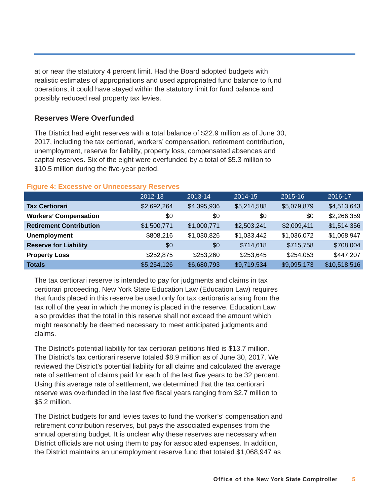<span id="page-6-0"></span>at or near the statutory 4 percent limit. Had the Board adopted budgets with realistic estimates of appropriations and used appropriated fund balance to fund operations, it could have stayed within the statutory limit for fund balance and possibly reduced real property tax levies.

#### **Reserves Were Overfunded**

The District had eight reserves with a total balance of \$22.9 million as of June 30, 2017, including the tax certiorari, workers' compensation, retirement contribution, unemployment, reserve for liability, property loss, compensated absences and capital reserves. Six of the eight were overfunded by a total of \$5.3 million to \$10.5 million during the five-year period.

|                                | 2012-13     | 2013-14     | 2014-15     | 2015-16     | 2016-17      |
|--------------------------------|-------------|-------------|-------------|-------------|--------------|
| <b>Tax Certiorari</b>          | \$2,692,264 | \$4,395,936 | \$5,214,588 | \$5,079,879 | \$4,513,643  |
| <b>Workers' Compensation</b>   | \$0         | \$0         | \$0         | \$0         | \$2,266,359  |
| <b>Retirement Contribution</b> | \$1,500,771 | \$1,000,771 | \$2,503,241 | \$2,009,411 | \$1,514,356  |
| <b>Unemployment</b>            | \$808,216   | \$1,030,826 | \$1,033,442 | \$1,036,072 | \$1,068,947  |
| <b>Reserve for Liability</b>   | \$0         | \$0         | \$714,618   | \$715,758   | \$708,004    |
| <b>Property Loss</b>           | \$252,875   | \$253,260   | \$253,645   | \$254,053   | \$447,207    |
| <b>Totals</b>                  | \$5,254,126 | \$6,680,793 | \$9,719,534 | \$9,095,173 | \$10,518,516 |

#### **Figure 4: Excessive or Unnecessary Reserves**

The tax certiorari reserve is intended to pay for judgments and claims in tax certiorari proceeding. New York State Education Law (Education Law) requires that funds placed in this reserve be used only for tax certioraris arising from the tax roll of the year in which the money is placed in the reserve. Education Law also provides that the total in this reserve shall not exceed the amount which might reasonably be deemed necessary to meet anticipated judgments and claims.

The District's potential liability for tax certiorari petitions filed is \$13.7 million. The District's tax certiorari reserve totaled \$8.9 million as of June 30, 2017. We reviewed the District's potential liability for all claims and calculated the average rate of settlement of claims paid for each of the last five years to be 32 percent. Using this average rate of settlement, we determined that the tax certiorari reserve was overfunded in the last five fiscal years ranging from \$2.7 million to \$5.2 million.

The District budgets for and levies taxes to fund the worker's' compensation and retirement contribution reserves, but pays the associated expenses from the annual operating budget. It is unclear why these reserves are necessary when District officials are not using them to pay for associated expenses. In addition, the District maintains an unemployment reserve fund that totaled \$1,068,947 as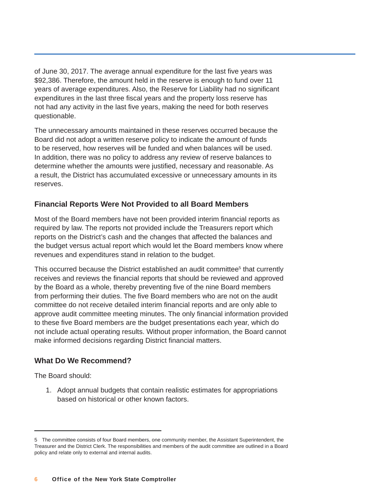<span id="page-7-0"></span>of June 30, 2017. The average annual expenditure for the last five years was \$92,386. Therefore, the amount held in the reserve is enough to fund over 11 years of average expenditures. Also, the Reserve for Liability had no significant expenditures in the last three fiscal years and the property loss reserve has not had any activity in the last five years, making the need for both reserves questionable.

The unnecessary amounts maintained in these reserves occurred because the Board did not adopt a written reserve policy to indicate the amount of funds to be reserved, how reserves will be funded and when balances will be used. In addition, there was no policy to address any review of reserve balances to determine whether the amounts were justified, necessary and reasonable. As a result, the District has accumulated excessive or unnecessary amounts in its reserves.

#### **Financial Reports Were Not Provided to all Board Members**

Most of the Board members have not been provided interim financial reports as required by law. The reports not provided include the Treasurers report which reports on the District's cash and the changes that affected the balances and the budget versus actual report which would let the Board members know where revenues and expenditures stand in relation to the budget.

This occurred because the District established an audit committee<sup>5</sup> that currently receives and reviews the financial reports that should be reviewed and approved by the Board as a whole, thereby preventing five of the nine Board members from performing their duties. The five Board members who are not on the audit committee do not receive detailed interim financial reports and are only able to approve audit committee meeting minutes. The only financial information provided to these five Board members are the budget presentations each year, which do not include actual operating results. Without proper information, the Board cannot make informed decisions regarding District financial matters.

#### **What Do We Recommend?**

The Board should:

1. Adopt annual budgets that contain realistic estimates for appropriations based on historical or other known factors.

<sup>5</sup> The committee consists of four Board members, one community member, the Assistant Superintendent, the Treasurer and the District Clerk. The responsibilities and members of the audit committee are outlined in a Board policy and relate only to external and internal audits.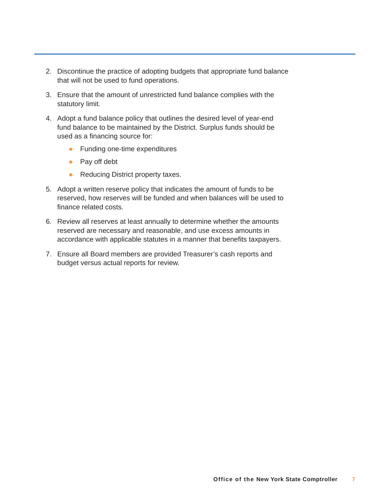- 2. Discontinue the practice of adopting budgets that appropriate fund balance that will not be used to fund operations.
- 3. Ensure that the amount of unrestricted fund balance complies with the statutory limit.
- 4. Adopt a fund balance policy that outlines the desired level of year-end fund balance to be maintained by the District. Surplus funds should be used as a financing source for:
	- Funding one-time expenditures
	- Pay off debt
	- Reducing District property taxes.
- 5. Adopt a written reserve policy that indicates the amount of funds to be reserved, how reserves will be funded and when balances will be used to finance related costs.
- 6. Review all reserves at least annually to determine whether the amounts reserved are necessary and reasonable, and use excess amounts in accordance with applicable statutes in a manner that benefits taxpayers.
- 7. Ensure all Board members are provided Treasurer's cash reports and budget versus actual reports for review.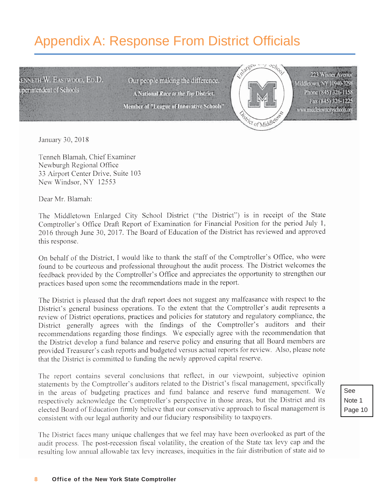## <span id="page-9-0"></span>Appendix A: Response From District Officials

**ENNETH W. EASTWOOD, ED.D.** uperintendent of Schools

Our people making the difference. A National Race to the Top District. Member of "League of Innovative Schools"



223 Wisner Avenue Middletown, NY 10940-3298 Phone (845) 326-1158 Fax (845) 326-1225 www.middletowncityschools.org

January 30, 2018

Tenneh Blamah, Chief Examiner Newburgh Regional Office 33 Airport Center Drive, Suite 103 New Windsor, NY 12553

Dear Mr. Blamah:

The Middletown Enlarged City School District ("the District") is in receipt of the State Comptroller's Office Draft Report of Examination for Financial Position for the period July 1, 2016 through June 30, 2017. The Board of Education of the District has reviewed and approved this response.

On behalf of the District, I would like to thank the staff of the Comptroller's Office, who were found to be courteous and professional throughout the audit process. The District welcomes the feedback provided by the Comptroller's Office and appreciates the opportunity to strengthen our practices based upon some the recommendations made in the report.

The District is pleased that the draft report does not suggest any malfeasance with respect to the District's general business operations. To the extent that the Comptroller's audit represents a review of District operations, practices and policies for statutory and regulatory compliance, the District generally agrees with the findings of the Comptroller's auditors and their recommendations regarding those findings. We especially agree with the recommendation that the District develop a fund balance and reserve policy and ensuring that all Board members are provided Treasurer's cash reports and budgeted versus actual reports for review. Also, please note that the District is committed to funding the newly approved capital reserve.

The report contains several conclusions that reflect, in our viewpoint, subjective opinion statements by the Comptroller's auditors related to the District's fiscal management, specifically in the areas of budgeting practices and fund balance and reserve fund management. We respectively acknowledge the Comptroller's perspective in those areas, but the District and its elected Board of Education firmly believe that our conservative approach to fiscal management is consistent with our legal authority and our fiduciary responsibility to taxpayers.

The District faces many unique challenges that we feel may have been overlooked as part of the audit process. The post-recession fiscal volatility, the creation of the State tax levy cap and the resulting low annual allowable tax levy increases, inequities in the fair distribution of state aid to See Note 1 Page 10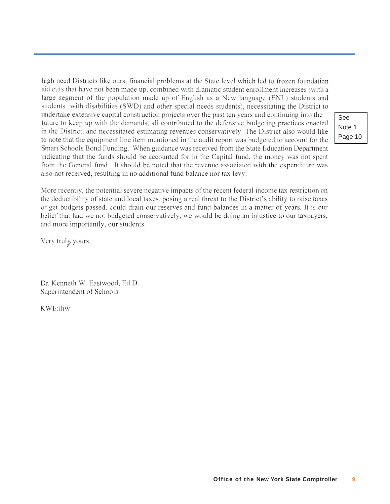high need Districts like ours, financial problems at the State level which led to frozen foundation aid cuts that have not been made up, combined with dramatic student enrollment increases (with a large segment of the population made up of English as a New language (ENL) students and students with disabilities (SWD) and other special needs students), necessitating the District to undertake extensive capital construction projects over the past ten years and continuing into the future to keep up with the demands, all contributed to the defensive budgeting practices enacted in the District, and necessitated estimating revenues conservatively. The District also would like to note that the equipment line item mentioned in the audit report was budgeted to account for the Smart Schools Bond Funding. When guidance was received from the State Education Department indicating that the funds should be accounted for in the Capital fund, the money was not spent from the General fund. It should be noted that the revenue associated with the expenditure was also not received, resulting in no additional fund balance nor tax levy.

More recently, the potential severe negative impacts of the recent federal income tax restriction on the deductibility of state and local taxes, posing a real threat to the District's ability to raise taxes or get budgets passed, could drain our reserves and fund balances in a matter of years. It is our belief that had we not budgeted conservatively, we would be doing an injustice to our taxpayers, and more importantly, our students.

Very truly yours,

Dr. Kenneth W. Eastwood, Ed.D. Superintendent of Schools

KWE:ihw

See Note 1 Page 10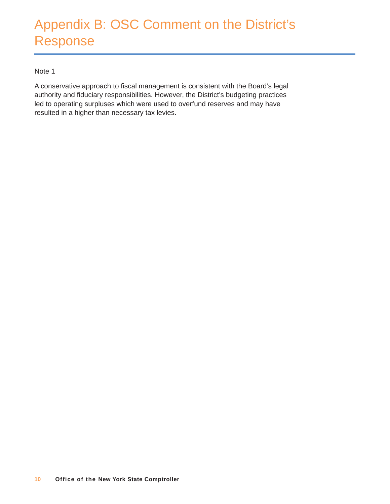## <span id="page-11-0"></span>Appendix B: OSC Comment on the District's Response

#### Note 1

A conservative approach to fiscal management is consistent with the Board's legal authority and fiduciary responsibilities. However, the District's budgeting practices led to operating surpluses which were used to overfund reserves and may have resulted in a higher than necessary tax levies.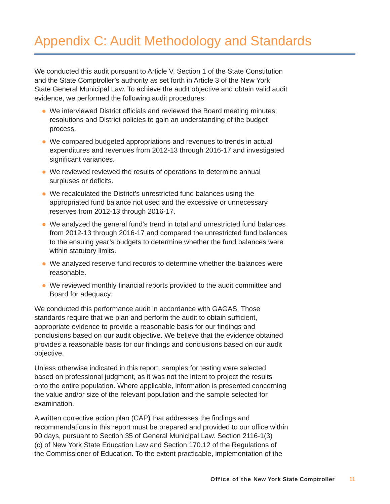## <span id="page-12-0"></span>Appendix C: Audit Methodology and Standards

We conducted this audit pursuant to Article V, Section 1 of the State Constitution and the State Comptroller's authority as set forth in Article 3 of the New York State General Municipal Law. To achieve the audit objective and obtain valid audit evidence, we performed the following audit procedures:

- We interviewed District officials and reviewed the Board meeting minutes, resolutions and District policies to gain an understanding of the budget process.
- We compared budgeted appropriations and revenues to trends in actual expenditures and revenues from 2012-13 through 2016-17 and investigated significant variances.
- We reviewed reviewed the results of operations to determine annual surpluses or deficits.
- We recalculated the District's unrestricted fund balances using the appropriated fund balance not used and the excessive or unnecessary reserves from 2012-13 through 2016-17.
- We analyzed the general fund's trend in total and unrestricted fund balances from 2012-13 through 2016-17 and compared the unrestricted fund balances to the ensuing year's budgets to determine whether the fund balances were within statutory limits.
- We analyzed reserve fund records to determine whether the balances were reasonable.
- We reviewed monthly financial reports provided to the audit committee and Board for adequacy.

We conducted this performance audit in accordance with GAGAS. Those standards require that we plan and perform the audit to obtain sufficient, appropriate evidence to provide a reasonable basis for our findings and conclusions based on our audit objective. We believe that the evidence obtained provides a reasonable basis for our findings and conclusions based on our audit objective.

Unless otherwise indicated in this report, samples for testing were selected based on professional judgment, as it was not the intent to project the results onto the entire population. Where applicable, information is presented concerning the value and/or size of the relevant population and the sample selected for examination.

A written corrective action plan (CAP) that addresses the findings and recommendations in this report must be prepared and provided to our office within 90 days, pursuant to Section 35 of General Municipal Law. Section 2116-1(3) (c) of New York State Education Law and Section 170.12 of the Regulations of the Commissioner of Education. To the extent practicable, implementation of the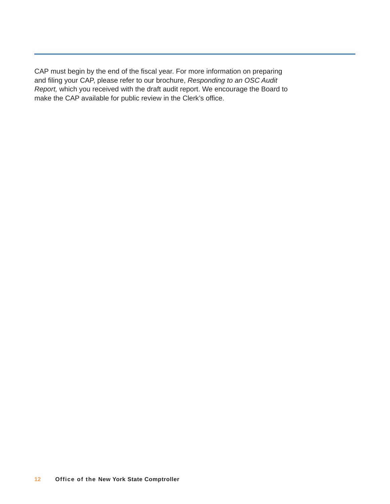CAP must begin by the end of the fiscal year. For more information on preparing and filing your CAP, please refer to our brochure, *Responding to an OSC Audit Report,* which you received with the draft audit report. We encourage the Board to make the CAP available for public review in the Clerk's office.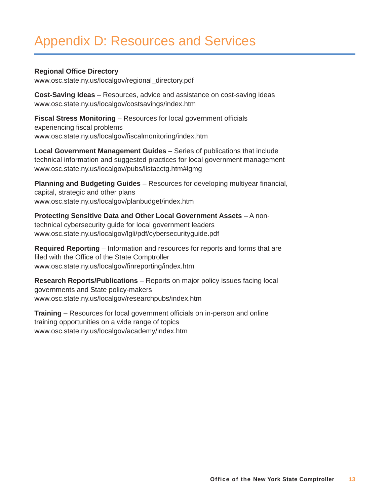## <span id="page-14-0"></span>Appendix D: Resources and Services

#### **Regional Office Directory**

[www.osc.state.ny.us/localgov/regional\\_directory.pdf](http://www.osc.state.ny.us/localgov/regional_directory.pdf)

**Cost-Saving Ideas** – Resources, advice and assistance on cost-saving ideas [www.osc.state.ny.us/localgov/costsavings/index.htm](http://www.osc.state.ny.us/localgov/costsavings/index.htm)

**Fiscal Stress Monitoring** – Resources for local government officials experiencing fiscal problems [www.osc.state.ny.us/localgov/fiscalmonitoring/index.htm](http://www.osc.state.ny.us/localgov/fiscalmonitoring/index.htm)

**Local Government Management Guides** – Series of publications that include technical information and suggested practices for local government management [www.osc.state.ny.us/localgov/pubs/listacctg.htm#lgmg](http://www.osc.state.ny.us/localgov/pubs/listacctg.htm#lgmg)

**Planning and Budgeting Guides** – Resources for developing multiyear financial, capital, strategic and other plans [www.osc.state.ny.us/localgov/planbudget/index.htm](http://www.osc.state.ny.us/localgov/planbudget/index.htm)

**Protecting Sensitive Data and Other Local Government Assets** – A nontechnical cybersecurity guide for local government leaders [www.osc.state.ny.us/localgov/lgli/pdf/cybersecurityguide.pdf](http://www.osc.state.ny.us/localgov/lgli/pdf/cybersecurityguide.pdf)

**Required Reporting** – Information and resources for reports and forms that are filed with the Office of the State Comptroller [www.osc.state.ny.us/localgov/finreporting/index.htm](http://www.osc.state.ny.us/localgov/finreporting/index.htm)

**Research Reports/Publications** – Reports on major policy issues facing local governments and State policy-makers [www.osc.state.ny.us/localgov/researchpubs/index.htm](http://www.osc.state.ny.us/localgov/researchpubs/index.htm)

**Training** – Resources for local government officials on in-person and online training opportunities on a wide range of topics [www.osc.state.ny.us/localgov/academy/index.htm](http://www.osc.state.ny.us/localgov/academy/index.htm)